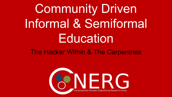Community Driven Informal & Semiformal **Education** 

The Hacker Within & The Carpentries

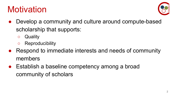#### **Motivation**



- Develop a community and culture around compute-based scholarship that supports:
	- Quality
	- Reproducibility
- Respond to immediate interests and needs of community members
- Establish a baseline competency among a broad community of scholars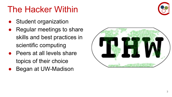#### The Hacker Within

- **Student organization**
- Regular meetings to share skills and best practices in scientific computing
- **Peers at all levels share** topics of their choice
- Began at UW-Madison



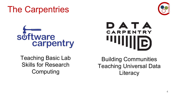

Teaching Basic Lab Skills for Research Computing



Building Communities Teaching Universal Data **Literacy**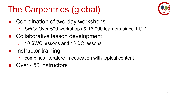# The Carpentries (global)



- Coordination of two-day workshops
	- SWC: Over 500 workshops & 16,000 learners since 11/11
- Collaborative lesson development
	- 10 SWC lessons and 13 DC lessons
- Instructor training
	- combines literature in education with topical content
- Over 450 instructors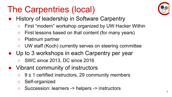# The Carpentries (local)

- History of leadership in Software Carpentry
	- First "modern" workshop organized by UW Hacker Within
	- First lessons based on that content (for many years)
	- Platinum partner
	- UW staff (Koch) currently serves on steering committee
- Up to 3 workshops in each Carpentry per year
	- SWC since 2013, DC since 2016
- Vibrant community of instructors
	- $\circ$  9 ± 1 certified instructors, 29 community members
	- Self-organized
	- Succession: learners -> helpers -> instructors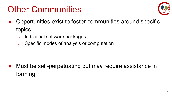### Other Communities



- Opportunities exist to foster communities around specific topics
	- Individual software packages
	- Specific modes of analysis or computation

Must be self-perpetuating but may require assistance in forming